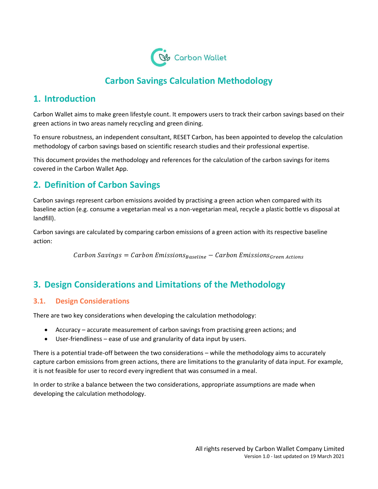

# **Carbon Savings Calculation Methodology**

### **1. Introduction**

Carbon Wallet aims to make green lifestyle count. It empowers users to track their carbon savings based on their green actions in two areas namely recycling and green dining.

To ensure robustness, an independent consultant, RESET Carbon, has been appointed to develop the calculation methodology of carbon savings based on scientific research studies and their professional expertise.

This document provides the methodology and references for the calculation of the carbon savings for items covered in the Carbon Wallet App.

### **2. Definition of Carbon Savings**

Carbon savings represent carbon emissions avoided by practising a green action when compared with its baseline action (e.g. consume a vegetarian meal vs a non-vegetarian meal, recycle a plastic bottle vs disposal at landfill).

Carbon savings are calculated by comparing carbon emissions of a green action with its respective baseline action:

 $Carbon \, Savings = Carbon \, Emissions_{Baseline} - Carbon \, Emissions_{Green \, Actions}$ 

## **3. Design Considerations and Limitations of the Methodology**

### **3.1. Design Considerations**

There are two key considerations when developing the calculation methodology:

- Accuracy accurate measurement of carbon savings from practising green actions; and
- User-friendliness ease of use and granularity of data input by users.

There is a potential trade-off between the two considerations – while the methodology aims to accurately capture carbon emissions from green actions, there are limitations to the granularity of data input. For example, it is not feasible for user to record every ingredient that was consumed in a meal.

In order to strike a balance between the two considerations, appropriate assumptions are made when developing the calculation methodology.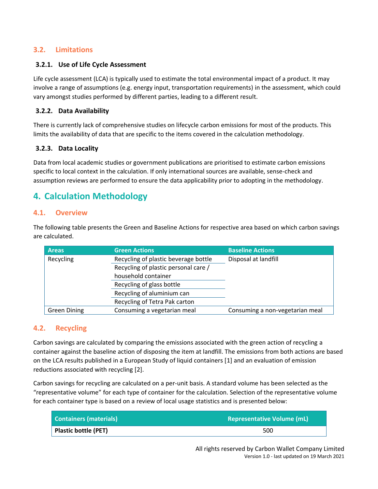### **3.2. Limitations**

#### **3.2.1. Use of Life Cycle Assessment**

Life cycle assessment (LCA) is typically used to estimate the total environmental impact of a product. It may involve a range of assumptions (e.g. energy input, transportation requirements) in the assessment, which could vary amongst studies performed by different parties, leading to a different result.

#### **3.2.2. Data Availability**

There is currently lack of comprehensive studies on lifecycle carbon emissions for most of the products. This limits the availability of data that are specific to the items covered in the calculation methodology.

#### **3.2.3. Data Locality**

Data from local academic studies or government publications are prioritised to estimate carbon emissions specific to local context in the calculation. If only international sources are available, sense-check and assumption reviews are performed to ensure the data applicability prior to adopting in the methodology.

## **4. Calculation Methodology**

#### **4.1. Overview**

The following table presents the Green and Baseline Actions for respective area based on which carbon savings are calculated.

| <b>Areas</b>        | <b>Green Actions</b>                 | <b>Baseline Actions</b>         |  |
|---------------------|--------------------------------------|---------------------------------|--|
| Recycling           | Recycling of plastic beverage bottle | Disposal at landfill            |  |
|                     | Recycling of plastic personal care / |                                 |  |
|                     | household container                  |                                 |  |
|                     | Recycling of glass bottle            |                                 |  |
|                     | Recycling of aluminium can           |                                 |  |
|                     | Recycling of Tetra Pak carton        |                                 |  |
| <b>Green Dining</b> | Consuming a vegetarian meal          | Consuming a non-vegetarian meal |  |

### **4.2. Recycling**

Carbon savings are calculated by comparing the emissions associated with the green action of recycling a container against the baseline action of disposing the item at landfill. The emissions from both actions are based on the LCA results published in a European Study of liquid containers [\[1\]](#page-3-0) and an evaluation of emission reductions associated with recycling [2].

Carbon savings for recycling are calculated on a per-unit basis. A standard volume has been selected as the "representative volume" for each type of container for the calculation. Selection of the representative volume for each container type is based on a review of local usage statistics and is presented below:

| <b>Containers (materials)</b> | <b>Representative Volume (mL)</b> |
|-------------------------------|-----------------------------------|
| Plastic bottle (PET)          | 500                               |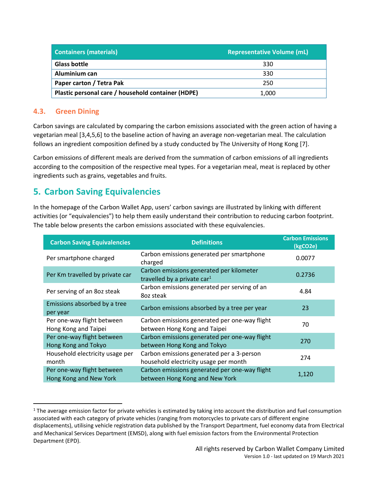| <b>Containers (materials)</b>                      | <b>Representative Volume (mL)</b> |
|----------------------------------------------------|-----------------------------------|
| <b>Glass bottle</b>                                | 330                               |
| Aluminium can                                      | 330                               |
| Paper carton / Tetra Pak                           | 250                               |
| Plastic personal care / household container (HDPE) | 1,000                             |

### **4.3. Green Dining**

Carbon savings are calculated by comparing the carbon emissions associated with the green action of having a vegetarian meal [3,4,5,6] to the baseline action of having an average non-vegetarian meal. The calculation follows an ingredient composition defined by a study conducted by The University of Hong Kong [7].

Carbon emissions of different meals are derived from the summation of carbon emissions of all ingredients according to the composition of the respective meal types. For a vegetarian meal, meat is replaced by other ingredients such as grains, vegetables and fruits.

## **5. Carbon Saving Equivalencies**

In the homepage of the Carbon Wallet App, users' carbon savings are illustrated by linking with different activities (or "equivalencies") to help them easily understand their contribution to reducing carbon footprint. The table below presents the carbon emissions associated with these equivalencies.

| <b>Carbon Saving Equivalencies</b>                   | <b>Definitions</b>                                                                  | <b>Carbon Emissions</b><br>(kgCO2e) |
|------------------------------------------------------|-------------------------------------------------------------------------------------|-------------------------------------|
| Per smartphone charged                               | Carbon emissions generated per smartphone<br>charged                                | 0.0077                              |
| Per Km travelled by private car                      | Carbon emissions generated per kilometer<br>travelled by a private car <sup>1</sup> | 0.2736                              |
| Per serving of an 8oz steak                          | Carbon emissions generated per serving of an<br>8oz steak                           | 4.84                                |
| Emissions absorbed by a tree<br>per year             | Carbon emissions absorbed by a tree per year                                        | 23                                  |
| Per one-way flight between<br>Hong Kong and Taipei   | Carbon emissions generated per one-way flight<br>between Hong Kong and Taipei       | 70                                  |
| Per one-way flight between<br>Hong Kong and Tokyo    | Carbon emissions generated per one-way flight<br>between Hong Kong and Tokyo        | 270                                 |
| Household electricity usage per<br>month             | Carbon emissions generated per a 3-person<br>household electricity usage per month  | 274                                 |
| Per one-way flight between<br>Hong Kong and New York | Carbon emissions generated per one-way flight<br>between Hong Kong and New York     | 1,120                               |

<sup>&</sup>lt;sup>1</sup> The average emission factor for private vehicles is estimated by taking into account the distribution and fuel consumption associated with each category of private vehicles (ranging from motorcycles to private cars of different engine displacements), utilising vehicle registration data published by the Transport Department, fuel economy data from Electrical and Mechanical Services Department (EMSD), along with fuel emission factors from the Environmental Protection Department (EPD).